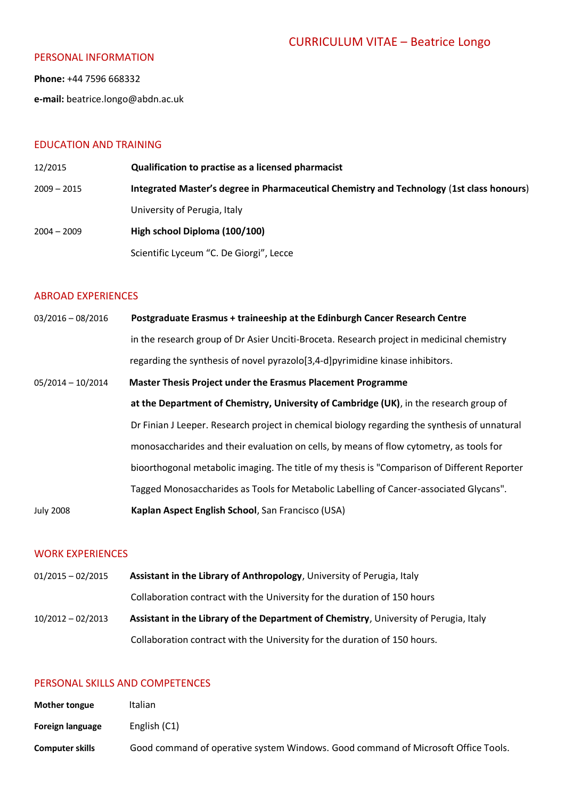#### PERSONAL INFORMATION

**Phone:** +44 7596 668332

**e-mail:** beatrice.longo@abdn.ac.uk

### EDUCATION AND TRAINING

12/2015 **Qualification to practise as a licensed pharmacist** 2009 – 2015 **Integrated Master's degree in Pharmaceutical Chemistry and Technology** (**1st class honours**) University of Perugia, Italy 2004 – 2009 **High school Diploma (100/100)** Scientific Lyceum "C. De Giorgi", Lecce

#### ABROAD EXPERIENCES

03/2016 – 08/2016 **Postgraduate Erasmus + traineeship at the Edinburgh Cancer Research Centre** in the research group of Dr Asier Unciti-Broceta. Research project in medicinal chemistry regarding the synthesis of novel pyrazolo[3,4-d]pyrimidine kinase inhibitors. 05/2014 – 10/2014 **Master Thesis Project under the Erasmus Placement Programme at the Department of Chemistry, University of Cambridge (UK)**, in the research group of Dr Finian J Leeper. Research project in chemical biology regarding the synthesis of unnatural monosaccharides and their evaluation on cells, by means of flow cytometry, as tools for bioorthogonal metabolic imaging. The title of my thesis is "Comparison of Different Reporter Tagged Monosaccharides as Tools for Metabolic Labelling of Cancer-associated Glycans". July 2008 **Kaplan Aspect English School**, San Francisco (USA)

#### WORK EXPERIENCES

01/2015 – 02/2015 **Assistant in the Library of Anthropology**, University of Perugia, Italy Collaboration contract with the University for the duration of 150 hours 10/2012 – 02/2013 **Assistant in the Library of the Department of Chemistry**, University of Perugia, Italy Collaboration contract with the University for the duration of 150 hours.

## PERSONAL SKILLS AND COMPETENCES

| <b>Mother tongue</b>   | Italian                                                                           |
|------------------------|-----------------------------------------------------------------------------------|
| Foreign language       | English (C1)                                                                      |
| <b>Computer skills</b> | Good command of operative system Windows. Good command of Microsoft Office Tools. |